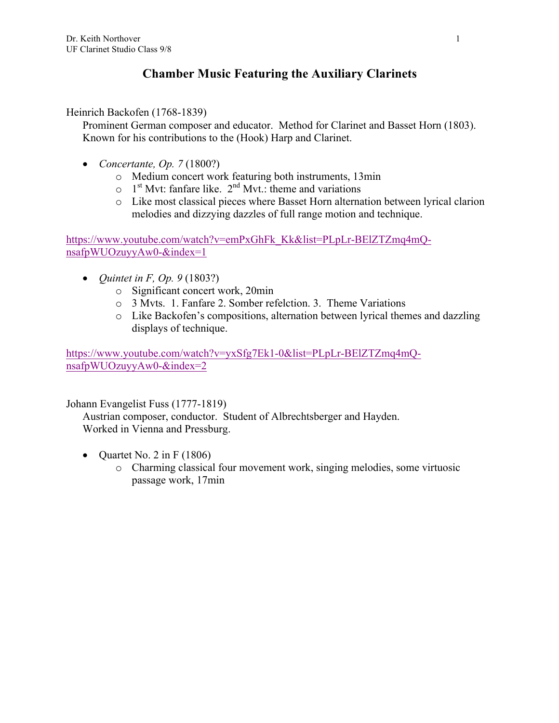# **Chamber Music Featuring the Auxiliary Clarinets**

Heinrich Backofen (1768-1839)

Prominent German composer and educator. Method for Clarinet and Basset Horn (1803). Known for his contributions to the (Hook) Harp and Clarinet.

- *Concertante, Op. 7* (1800?)
	- o Medium concert work featuring both instruments, 13min
	- $\circ$  1<sup>st</sup> Myt: fanfare like. 2<sup>nd</sup> Myt.: theme and variations
	- o Like most classical pieces where Basset Horn alternation between lyrical clarion melodies and dizzying dazzles of full range motion and technique.

https://www.youtube.com/watch?v=emPxGhFk\_Kk&list=PLpLr-BElZTZmq4mQnsafpWUOzuyyAw0-&index=1

- *Quintet in F, Op. 9* (1803?)
	- o Significant concert work, 20min
	- o 3 Mvts. 1. Fanfare 2. Somber refelction. 3. Theme Variations
	- o Like Backofen's compositions, alternation between lyrical themes and dazzling displays of technique.

https://www.youtube.com/watch?v=yxSfg7Ek1-0&list=PLpLr-BElZTZmq4mQnsafpWUOzuyyAw0-&index=2

Johann Evangelist Fuss (1777-1819)

Austrian composer, conductor. Student of Albrechtsberger and Hayden. Worked in Vienna and Pressburg.

- Quartet No. 2 in F  $(1806)$ 
	- o Charming classical four movement work, singing melodies, some virtuosic passage work, 17min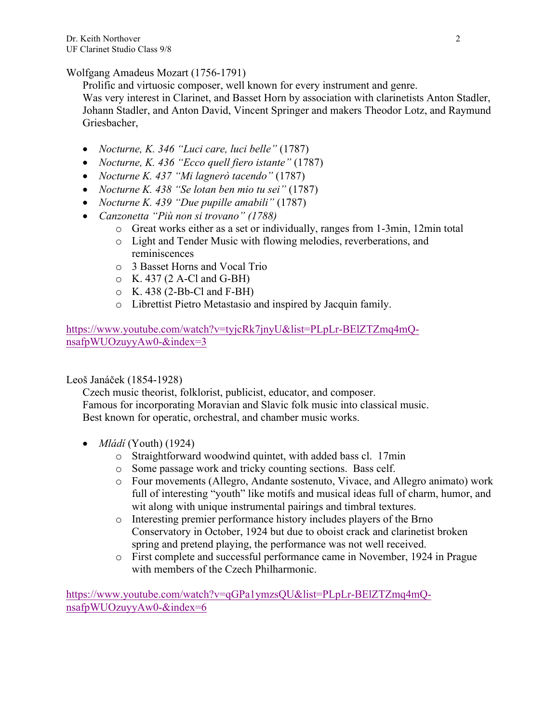Wolfgang Amadeus Mozart (1756-1791)

Prolific and virtuosic composer, well known for every instrument and genre.

Was very interest in Clarinet, and Basset Horn by association with clarinetists Anton Stadler, Johann Stadler, and Anton David, Vincent Springer and makers Theodor Lotz, and Raymund Griesbacher,

- *Nocturne, K. 346 "Luci care, luci belle"* (1787)
- *Nocturne, K. 436 "Ecco quell fiero istante"* (1787)
- *Nocturne K. 437 "Mi lagnerò tacendo"* (1787)
- *Nocturne K. 438 "Se lotan ben mio tu sei"* (1787)
- *Nocturne K. 439 "Due pupille amabili"* (1787)
- *Canzonetta "Più non si trovano" (1788)* 
	- o Great works either as a set or individually, ranges from 1-3min, 12min total
	- o Light and Tender Music with flowing melodies, reverberations, and reminiscences
	- o 3 Basset Horns and Vocal Trio
	- $\circ$  K. 437 (2 A-Cl and G-BH)
	- $\circ$  K. 438 (2-Bb-Cl and F-BH)
	- o Librettist Pietro Metastasio and inspired by Jacquin family.

https://www.youtube.com/watch?v=tyjcRk7jnyU&list=PLpLr-BElZTZmq4mQnsafpWUOzuyyAw0-&index=3

## Leoš Janáček (1854-1928)

Czech music theorist, folklorist, publicist, educator, and composer. Famous for incorporating Moravian and Slavic folk music into classical music. Best known for operatic, orchestral, and chamber music works.

- *Mládí* (Youth) (1924)
	- o Straightforward woodwind quintet, with added bass cl. 17min
	- o Some passage work and tricky counting sections. Bass celf.
	- o Four movements (Allegro, Andante sostenuto, Vivace, and Allegro animato) work full of interesting "youth" like motifs and musical ideas full of charm, humor, and wit along with unique instrumental pairings and timbral textures.
	- o Interesting premier performance history includes players of the Brno Conservatory in October, 1924 but due to oboist crack and clarinetist broken spring and pretend playing, the performance was not well received.
	- o First complete and successful performance came in November, 1924 in Prague with members of the Czech Philharmonic.

https://www.youtube.com/watch?v=qGPa1ymzsQU&list=PLpLr-BElZTZmq4mQnsafpWUOzuyyAw0-&index=6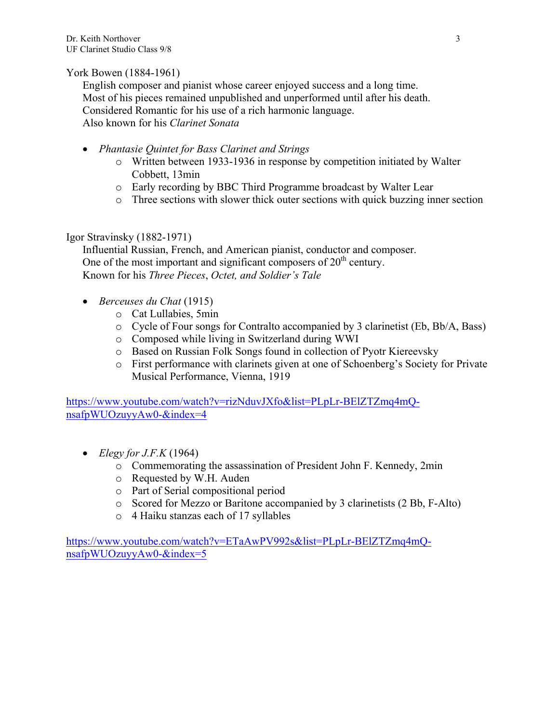### York Bowen (1884-1961)

English composer and pianist whose career enjoyed success and a long time. Most of his pieces remained unpublished and unperformed until after his death. Considered Romantic for his use of a rich harmonic language. Also known for his *Clarinet Sonata*

- *Phantasie Quintet for Bass Clarinet and Strings*
	- o Written between 1933-1936 in response by competition initiated by Walter Cobbett, 13min
	- o Early recording by BBC Third Programme broadcast by Walter Lear
	- o Three sections with slower thick outer sections with quick buzzing inner section

#### Igor Stravinsky (1882-1971)

Influential Russian, French, and American pianist, conductor and composer. One of the most important and significant composers of  $20<sup>th</sup>$  century. Known for his *Three Pieces*, *Octet, and Soldier's Tale*

- *Berceuses du Chat* (1915)
	- o Cat Lullabies, 5min
	- o Cycle of Four songs for Contralto accompanied by 3 clarinetist (Eb, Bb/A, Bass)
	- o Composed while living in Switzerland during WWI
	- o Based on Russian Folk Songs found in collection of Pyotr Kiereevsky
	- o First performance with clarinets given at one of Schoenberg's Society for Private Musical Performance, Vienna, 1919

https://www.youtube.com/watch?v=rizNduvJXfo&list=PLpLr-BElZTZmq4mQnsafpWUOzuyyAw0-&index=4

- *Elegy for J.F.K* (1964)
	- o Commemorating the assassination of President John F. Kennedy, 2min
	- o Requested by W.H. Auden
	- o Part of Serial compositional period
	- o Scored for Mezzo or Baritone accompanied by 3 clarinetists (2 Bb, F-Alto)
	- o 4 Haiku stanzas each of 17 syllables

https://www.youtube.com/watch?v=ETaAwPV992s&list=PLpLr-BElZTZmq4mQnsafpWUOzuyyAw0-&index=5